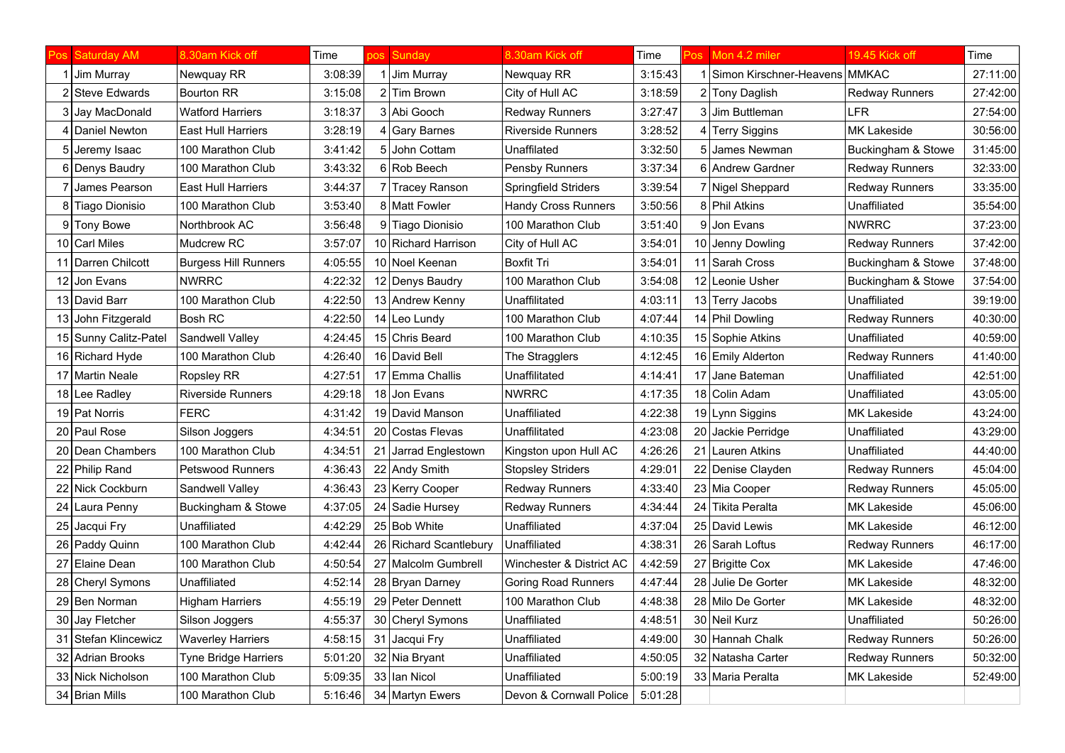|    | os Saturday AM        | 8.30am Kick off             | Time    | <b>DOS</b> | Sunday                 | 8.30am Kick off             | Time    | Pos | Mon 4.2 miler           | 19.45 Kick off        | Time     |
|----|-----------------------|-----------------------------|---------|------------|------------------------|-----------------------------|---------|-----|-------------------------|-----------------------|----------|
|    | Jim Murray            | Newquay RR                  | 3:08:39 |            | Jim Murray             | Newquay RR                  | 3:15:43 |     | Simon Kirschner-Heavens | IMMKAC                | 27:11:00 |
|    | 2 Steve Edwards       | <b>Bourton RR</b>           | 3:15:08 |            | 2 Tim Brown            | City of Hull AC             | 3:18:59 |     | 2 Tony Daglish          | <b>Redway Runners</b> | 27:42:00 |
|    | 3 Jay MacDonald       | <b>Watford Harriers</b>     | 3:18:37 |            | 3 Abi Gooch            | <b>Redway Runners</b>       | 3:27:47 |     | 3 Jim Buttleman         | <b>LFR</b>            | 27:54:00 |
|    | 4   Daniel Newton     | East Hull Harriers          | 3:28:19 |            | 4 Gary Barnes          | <b>Riverside Runners</b>    | 3:28:52 |     | 4 Terry Siggins         | <b>MK Lakeside</b>    | 30:56:00 |
| 5  | Jeremy Isaac          | 100 Marathon Club           | 3:41:42 | 51         | John Cottam            | Unaffilated                 | 3:32:50 |     | 5 James Newman          | Buckingham & Stowe    | 31:45:00 |
|    | 6 Denys Baudry        | 100 Marathon Club           | 3:43:32 |            | 6 Rob Beech            | Pensby Runners              | 3:37:34 |     | 6 Andrew Gardner        | <b>Redway Runners</b> | 32:33:00 |
|    | James Pearson         | <b>East Hull Harriers</b>   | 3:44:37 |            | 7 Tracey Ranson        | <b>Springfield Striders</b> | 3:39:54 |     | 7 Nigel Sheppard        | <b>Redway Runners</b> | 33:35:00 |
|    | 8 Tiago Dionisio      | 100 Marathon Club           | 3:53:40 |            | 8 Matt Fowler          | <b>Handy Cross Runners</b>  | 3:50:56 |     | 8 Phil Atkins           | Unaffiliated          | 35:54:00 |
|    | 9 Tony Bowe           | Northbrook AC               | 3:56:48 |            | 9 Tiago Dionisio       | 100 Marathon Club           | 3:51:40 |     | 9 Jon Evans             | <b>NWRRC</b>          | 37:23:00 |
|    | 10 Carl Miles         | <b>Mudcrew RC</b>           | 3:57:07 |            | 10 Richard Harrison    | City of Hull AC             | 3:54:01 |     | 10 Jenny Dowling        | <b>Redway Runners</b> | 37:42:00 |
|    | 11 Darren Chilcott    | <b>Burgess Hill Runners</b> | 4:05:55 |            | 10 Noel Keenan         | <b>Boxfit Tri</b>           | 3:54:01 |     | 11 Sarah Cross          | Buckingham & Stowe    | 37:48:00 |
|    | 12 Jon Evans          | <b>NWRRC</b>                | 4:22:32 |            | 12 Denys Baudry        | 100 Marathon Club           | 3:54:08 |     | 12 Leonie Usher         | Buckingham & Stowe    | 37:54:00 |
|    | 13 David Barr         | 100 Marathon Club           | 4:22:50 |            | 13 Andrew Kenny        | Unaffilitated               | 4:03:11 |     | 13 Terry Jacobs         | Unaffiliated          | 39:19:00 |
|    | 13 John Fitzgerald    | <b>Bosh RC</b>              | 4:22:50 |            | 14 Leo Lundy           | 100 Marathon Club           | 4:07:44 |     | 14 Phil Dowling         | <b>Redway Runners</b> | 40:30:00 |
|    | 15 Sunny Calitz-Patel | Sandwell Valley             | 4:24:45 |            | 15 Chris Beard         | 100 Marathon Club           | 4:10:35 |     | 15 Sophie Atkins        | Unaffiliated          | 40:59:00 |
|    | 16 Richard Hyde       | 100 Marathon Club           | 4:26:40 |            | 16 David Bell          | The Stragglers              | 4:12:45 |     | 16 Emily Alderton       | <b>Redway Runners</b> | 41:40:00 |
|    | 17 Martin Neale       | Ropsley RR                  | 4:27:51 |            | 17 Emma Challis        | Unaffilitated               | 4:14:41 |     | 17 Jane Bateman         | Unaffiliated          | 42:51:00 |
|    | 18 Lee Radley         | <b>Riverside Runners</b>    | 4:29:18 |            | 18 Jon Evans           | <b>NWRRC</b>                | 4:17:35 |     | 18 Colin Adam           | Unaffiliated          | 43:05:00 |
|    | 19 Pat Norris         | <b>FERC</b>                 | 4:31:42 |            | 19 David Manson        | Unaffiliated                | 4:22:38 |     | 19 Lynn Siggins         | <b>MK Lakeside</b>    | 43:24:00 |
|    | 20 Paul Rose          | Silson Joggers              | 4:34:51 |            | 20 Costas Flevas       | Unaffilitated               | 4:23:08 |     | 20 Jackie Perridge      | Unaffiliated          | 43:29:00 |
|    | 20 Dean Chambers      | 100 Marathon Club           | 4:34:51 | 21         | Jarrad Englestown      | Kingston upon Hull AC       | 4:26:26 |     | 21 Lauren Atkins        | Unaffiliated          | 44:40:00 |
|    | 22 Philip Rand        | <b>Petswood Runners</b>     | 4:36:43 |            | 22 Andy Smith          | <b>Stopsley Striders</b>    | 4:29:01 |     | 22 Denise Clayden       | <b>Redway Runners</b> | 45:04:00 |
|    | 22 Nick Cockburn      | Sandwell Valley             | 4:36:43 |            | 23 Kerry Cooper        | <b>Redway Runners</b>       | 4:33:40 |     | 23 Mia Cooper           | <b>Redway Runners</b> | 45:05:00 |
| 24 | Laura Penny           | Buckingham & Stowe          | 4:37:05 |            | 24 Sadie Hursey        | <b>Redway Runners</b>       | 4:34:44 |     | 24 Tikita Peralta       | <b>MK Lakeside</b>    | 45:06:00 |
|    | 25 Jacqui Fry         | Unaffiliated                | 4:42:29 |            | 25 Bob White           | Unaffiliated                | 4:37:04 |     | 25 David Lewis          | <b>MK Lakeside</b>    | 46:12:00 |
|    | 26 Paddy Quinn        | 100 Marathon Club           | 4:42:44 |            | 26 Richard Scantlebury | Unaffiliated                | 4:38:31 |     | 26 Sarah Loftus         | <b>Redway Runners</b> | 46:17:00 |
|    | 27 Elaine Dean        | 100 Marathon Club           | 4:50:54 |            | 27 Malcolm Gumbrell    | Winchester & District AC    | 4:42:59 |     | 27 Brigitte Cox         | <b>MK Lakeside</b>    | 47:46:00 |
|    | 28 Cheryl Symons      | Unaffiliated                | 4:52:14 |            | 28 Bryan Darney        | <b>Goring Road Runners</b>  | 4:47:44 |     | 28 Julie De Gorter      | <b>MK Lakeside</b>    | 48:32:00 |
|    | 29 Ben Norman         | Higham Harriers             | 4:55:19 |            | 29 Peter Dennett       | 100 Marathon Club           | 4:48:38 |     | 28 Milo De Gorter       | <b>MK Lakeside</b>    | 48:32:00 |
|    | 30 Jay Fletcher       | Silson Joggers              | 4:55:37 |            | 30 Cheryl Symons       | Unaffiliated                | 4:48:51 |     | 30 Neil Kurz            | Unaffiliated          | 50:26:00 |
|    | 31 Stefan Klincewicz  | <b>Waverley Harriers</b>    | 4:58:15 | 31         | Jacqui Fry             | Unaffiliated                | 4:49:00 |     | 30 Hannah Chalk         | <b>Redway Runners</b> | 50:26:00 |
|    | 32 Adrian Brooks      | Tyne Bridge Harriers        | 5:01:20 |            | 32 Nia Bryant          | Unaffiliated                | 4:50:05 |     | 32 Natasha Carter       | Redway Runners        | 50:32:00 |
|    | 33 Nick Nicholson     | 100 Marathon Club           | 5:09:35 |            | 33 Ian Nicol           | Unaffiliated                | 5:00:19 |     | 33 Maria Peralta        | <b>MK Lakeside</b>    | 52:49:00 |
|    | 34 Brian Mills        | 100 Marathon Club           | 5:16:46 |            | 34 Martyn Ewers        | Devon & Cornwall Police     | 5:01:28 |     |                         |                       |          |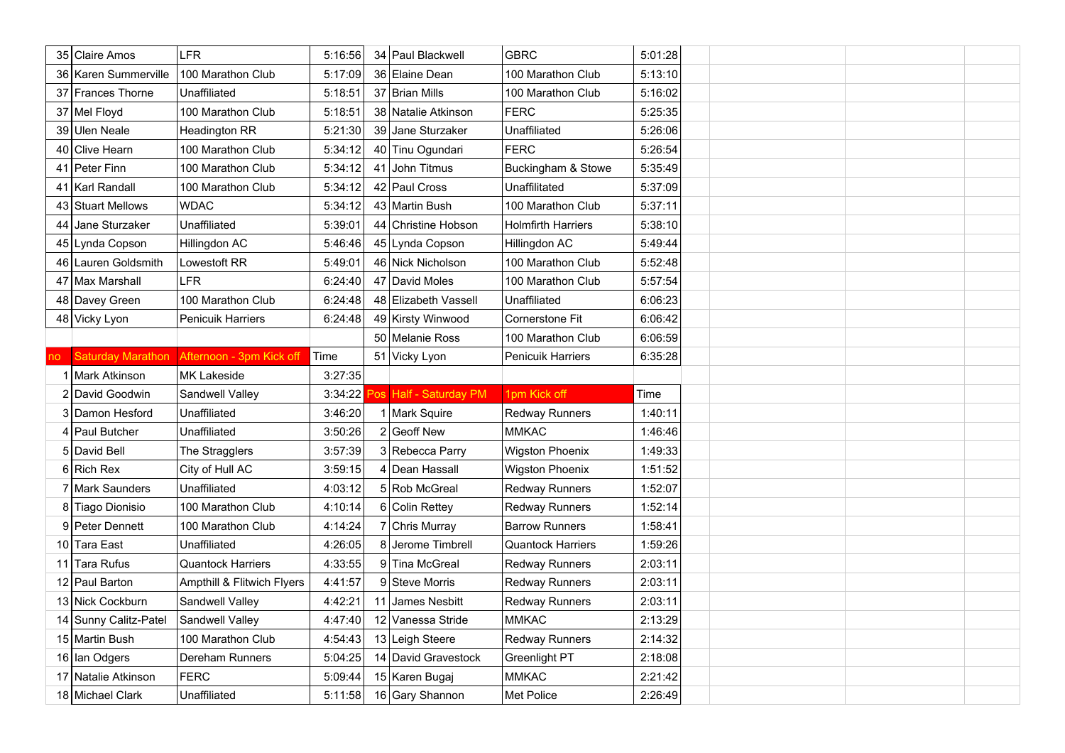|     | 35 Claire Amos           | <b>LFR</b>                 | 5:16:56 |    | 34 Paul Blackwell    | <b>GBRC</b>               | 5:01:28 |  |  |
|-----|--------------------------|----------------------------|---------|----|----------------------|---------------------------|---------|--|--|
|     | 36 Karen Summerville     | 100 Marathon Club          | 5:17:09 |    | 36 Elaine Dean       | 100 Marathon Club         | 5:13:10 |  |  |
|     | 37 Frances Thorne        | Unaffiliated               | 5:18:51 |    | 37 Brian Mills       | 100 Marathon Club         | 5:16:02 |  |  |
|     | 37 Mel Floyd             | 100 Marathon Club          | 5:18:51 |    | 38 Natalie Atkinson  | <b>FERC</b>               | 5:25:35 |  |  |
|     | 39 Ulen Neale            | Headington RR              | 5:21:30 |    | 39 Jane Sturzaker    | Unaffiliated              | 5:26:06 |  |  |
|     | 40 Clive Hearn           | 100 Marathon Club          | 5:34:12 |    | 40 Tinu Ogundari     | <b>FERC</b>               | 5:26:54 |  |  |
|     | 41 Peter Finn            | 100 Marathon Club          | 5:34:12 | 41 | John Titmus          | Buckingham & Stowe        | 5:35:49 |  |  |
|     | 41 Karl Randall          | 100 Marathon Club          | 5:34:12 |    | 42 Paul Cross        | Unaffilitated             | 5:37:09 |  |  |
|     | 43 Stuart Mellows        | <b>WDAC</b>                | 5:34:12 |    | 43 Martin Bush       | 100 Marathon Club         | 5:37:11 |  |  |
|     | 44 Jane Sturzaker        | Unaffiliated               | 5:39:01 |    | 44 Christine Hobson  | <b>Holmfirth Harriers</b> | 5:38:10 |  |  |
|     | 45 Lynda Copson          | Hillingdon AC              | 5:46:46 |    | 45 Lynda Copson      | Hillingdon AC             | 5:49:44 |  |  |
|     | 46 Lauren Goldsmith      | Lowestoft RR               | 5:49:01 |    | 46 Nick Nicholson    | 100 Marathon Club         | 5:52:48 |  |  |
|     | 47 Max Marshall          | <b>LFR</b>                 | 6:24:40 |    | 47 David Moles       | 100 Marathon Club         | 5:57:54 |  |  |
|     | 48 Davey Green           | 100 Marathon Club          | 6:24:48 |    | 48 Elizabeth Vassell | Unaffiliated              | 6:06:23 |  |  |
|     | 48 Vicky Lyon            | Penicuik Harriers          | 6:24:48 |    | 49 Kirsty Winwood    | Cornerstone Fit           | 6:06:42 |  |  |
|     |                          |                            |         |    | 50 Melanie Ross      | 100 Marathon Club         | 6:06:59 |  |  |
| no. | <b>Saturday Marathon</b> | Afternoon - 3pm Kick off   | Time    |    | 51 Vicky Lyon        | Penicuik Harriers         | 6:35:28 |  |  |
|     |                          |                            |         |    |                      |                           |         |  |  |
|     | 1 Mark Atkinson          | <b>MK Lakeside</b>         | 3:27:35 |    |                      |                           |         |  |  |
|     | 2 David Goodwin          | Sandwell Valley            | 3:34:22 |    | Half - Saturday PM   | 1pm Kick off              | Time    |  |  |
|     | 3 Damon Hesford          | Unaffiliated               | 3:46:20 |    | 1 Mark Squire        | <b>Redway Runners</b>     | 1:40:11 |  |  |
|     | 4 Paul Butcher           | Unaffiliated               | 3:50:26 |    | $2$ Geoff New        | <b>MMKAC</b>              | 1:46:46 |  |  |
|     | 5 David Bell             | The Stragglers             | 3:57:39 |    | 3 Rebecca Parry      | <b>Wigston Phoenix</b>    | 1:49:33 |  |  |
|     | 6 Rich Rex               | City of Hull AC            | 3:59:15 |    | Dean Hassall         | <b>Wigston Phoenix</b>    | 1:51:52 |  |  |
|     | 7 Mark Saunders          | Unaffiliated               | 4:03:12 |    | 5 Rob McGreal        | Redway Runners            | 1:52:07 |  |  |
|     | 8 Tiago Dionisio         | 100 Marathon Club          | 4:10:14 |    | 6 Colin Rettey       | <b>Redway Runners</b>     | 1:52:14 |  |  |
|     | 9 Peter Dennett          | 100 Marathon Club          | 4:14:24 |    | 7 Chris Murray       | <b>Barrow Runners</b>     | 1:58:41 |  |  |
|     | 10 Tara East             | Unaffiliated               | 4:26:05 |    | 8 Jerome Timbrell    | <b>Quantock Harriers</b>  | 1:59:26 |  |  |
|     | 11 Tara Rufus            | <b>Quantock Harriers</b>   | 4:33:55 |    | 9 Tina McGreal       | <b>Redway Runners</b>     | 2:03:11 |  |  |
|     | 12 Paul Barton           | Ampthill & Flitwich Flyers | 4:41:57 |    | 9 Steve Morris       | Redway Runners            | 2:03:11 |  |  |
|     | 13 Nick Cockburn         | Sandwell Valley            | 4:42:21 | 11 | James Nesbitt        | <b>Redway Runners</b>     | 2:03:11 |  |  |
|     | 14 Sunny Calitz-Patel    | Sandwell Valley            | 4:47:40 |    | 12 Vanessa Stride    | <b>MMKAC</b>              | 2:13:29 |  |  |
|     | 15 Martin Bush           | 100 Marathon Club          | 4:54:43 |    | 13 Leigh Steere      | <b>Redway Runners</b>     | 2:14:32 |  |  |
|     | 16 Ian Odgers            | Dereham Runners            | 5:04:25 |    | 14 David Gravestock  | Greenlight PT             | 2:18:08 |  |  |
|     | 17 Natalie Atkinson      | <b>FERC</b>                | 5:09:44 |    | 15 Karen Bugaj       | <b>MMKAC</b>              | 2:21:42 |  |  |